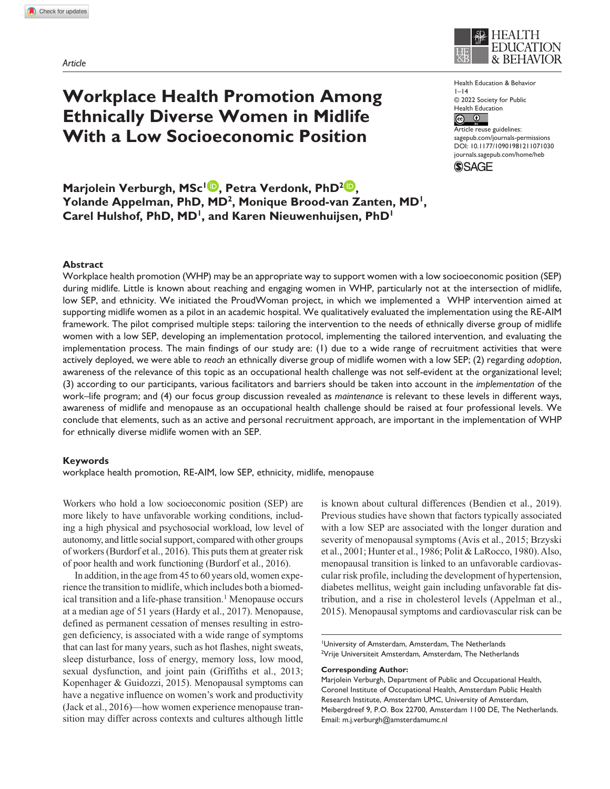*Article*



Health Education & Behavior  $|-14$ © 2022 Society for Public Health Education  $\circ$   $\circ$ 

Article reuse guidelines: [sagepub.com/journals-permissions](https://us.sagepub.com/en-us/journals-permissions) https://doi.org/10.1177/10901981211071030 DOI: 10.1177/10901981211071030 [journals.sagepub.com/home/heb](https://journals.sagepub.com/home/heb) **SSAGE** 

**Marjolein Verburgh, MSc<sup>1</sup><sup>D</sup>, Petra Verdonk, PhD<sup>2</sup><sup>D</sup>, Yolande Appelman, PhD, MD2, Monique Brood-van Zanten, MD1, Carel Hulshof, PhD, MD1, and Karen Nieuwenhuijsen, PhD1**

**Workplace Health Promotion Among** 

**Ethnically Diverse Women in Midlife With a Low Socioeconomic Position**

### **Abstract**

Workplace health promotion (WHP) may be an appropriate way to support women with a low socioeconomic position (SEP) during midlife. Little is known about reaching and engaging women in WHP, particularly not at the intersection of midlife, low SEP, and ethnicity. We initiated the ProudWoman project, in which we implemented a WHP intervention aimed at supporting midlife women as a pilot in an academic hospital. We qualitatively evaluated the implementation using the RE-AIM framework. The pilot comprised multiple steps: tailoring the intervention to the needs of ethnically diverse group of midlife women with a low SEP, developing an implementation protocol, implementing the tailored intervention, and evaluating the implementation process. The main findings of our study are: (1) due to a wide range of recruitment activities that were actively deployed, we were able to *reach* an ethnically diverse group of midlife women with a low SEP; (2) regarding *adoption*, awareness of the relevance of this topic as an occupational health challenge was not self-evident at the organizational level; (3) according to our participants, various facilitators and barriers should be taken into account in the *implementation* of the work–life program; and (4) our focus group discussion revealed as *maintenance* is relevant to these levels in different ways, awareness of midlife and menopause as an occupational health challenge should be raised at four professional levels. We conclude that elements, such as an active and personal recruitment approach, are important in the implementation of WHP for ethnically diverse midlife women with an SEP.

#### **Keywords**

workplace health promotion, RE-AIM, low SEP, ethnicity, midlife, menopause

Workers who hold a low socioeconomic position (SEP) are more likely to have unfavorable working conditions, including a high physical and psychosocial workload, low level of autonomy, and little social support, compared with other groups of workers (Burdorf et al., 2016). This puts them at greater risk of poor health and work functioning (Burdorf et al., 2016).

In addition, in the age from 45 to 60 years old, women experience the transition to midlife, which includes both a biomedical transition and a life-phase transition.<sup>1</sup> Menopause occurs at a median age of 51 years (Hardy et al., 2017). Menopause, defined as permanent cessation of menses resulting in estrogen deficiency, is associated with a wide range of symptoms that can last for many years, such as hot flashes, night sweats, sleep disturbance, loss of energy, memory loss, low mood, sexual dysfunction, and joint pain (Griffiths et al., 2013; Kopenhager & Guidozzi, 2015). Menopausal symptoms can have a negative influence on women's work and productivity (Jack et al., 2016)—how women experience menopause transition may differ across contexts and cultures although little

is known about cultural differences (Bendien et al., 2019). Previous studies have shown that factors typically associated with a low SEP are associated with the longer duration and severity of menopausal symptoms (Avis et al., 2015; Brzyski et al., 2001; Hunter et al., 1986; Polit & LaRocco, 1980). Also, menopausal transition is linked to an unfavorable cardiovascular risk profile, including the development of hypertension, diabetes mellitus, weight gain including unfavorable fat distribution, and a rise in cholesterol levels (Appelman et al., 2015). Menopausal symptoms and cardiovascular risk can be

1 University of Amsterdam, Amsterdam, The Netherlands <sup>2</sup>Vrije Universiteit Amsterdam, Amsterdam, The Netherlands

#### **Corresponding Author:**

Marjolein Verburgh, Department of Public and Occupational Health, Coronel Institute of Occupational Health, Amsterdam Public Health Research Institute, Amsterdam UMC, University of Amsterdam, Meibergdreef 9, P.O. Box 22700, Amsterdam 1100 DE, The Netherlands. Email: [m.j.verburgh@amsterdamumc.nl](mailto:m.j.verburgh@amsterdamumc.nl)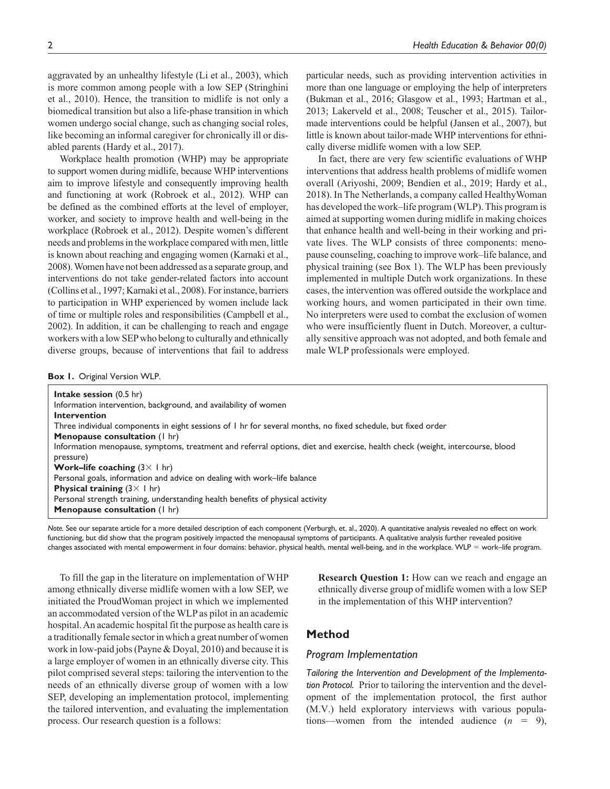aggravated by an unhealthy lifestyle (Li et al., 2003), which is more common among people with a low SEP (Stringhini et al., 2010). Hence, the transition to midlife is not only a biomedical transition but also a life-phase transition in which women undergo social change, such as changing social roles, like becoming an informal caregiver for chronically ill or disabled parents (Hardy et al., 2017).

Workplace health promotion (WHP) may be appropriate to support women during midlife, because WHP interventions aim to improve lifestyle and consequently improving health and functioning at work (Robroek et al., 2012). WHP can be defined as the combined efforts at the level of employer, worker, and society to improve health and well-being in the workplace (Robroek et al., 2012). Despite women's different needs and problems in the workplace compared with men, little is known about reaching and engaging women (Karnaki et al., 2008). Women have not been addressed as a separate group, and interventions do not take gender-related factors into account (Collins et al., 1997; Karnaki et al., 2008). For instance, barriers to participation in WHP experienced by women include lack of time or multiple roles and responsibilities (Campbell et al., 2002). In addition, it can be challenging to reach and engage workers with a low SEP who belong to culturally and ethnically diverse groups, because of interventions that fail to address

particular needs, such as providing intervention activities in more than one language or employing the help of interpreters (Bukman et al., 2016; Glasgow et al., 1993; Hartman et al., 2013; Lakerveld et al., 2008; Teuscher et al., 2015). Tailormade interventions could be helpful (Jansen et al., 2007), but little is known about tailor-made WHP interventions for ethnically diverse midlife women with a low SEP.

In fact, there are very few scientific evaluations of WHP interventions that address health problems of midlife women overall (Ariyoshi, 2009; Bendien et al., 2019; Hardy et al., 2018). In The Netherlands, a company called HealthyWoman has developed the work–life program (WLP). This program is aimed at supporting women during midlife in making choices that enhance health and well-being in their working and private lives. The WLP consists of three components: menopause counseling, coaching to improve work–life balance, and physical training (see Box 1). The WLP has been previously implemented in multiple Dutch work organizations. In these cases, the intervention was offered outside the workplace and working hours, and women participated in their own time. No interpreters were used to combat the exclusion of women who were insufficiently fluent in Dutch. Moreover, a culturally sensitive approach was not adopted, and both female and male WLP professionals were employed.

### **Box 1.** Original Version WLP.

**Intake session** (0.5 hr) Information intervention, background, and availability of women **Intervention** Three individual components in eight sessions of 1 hr for several months, no fixed schedule, but fixed order **Menopause consultation** (1 hr) Information menopause, symptoms, treatment and referral options, diet and exercise, health check (weight, intercourse, blood pressure) **Work–life coaching** (3× 1 hr) Personal goals, information and advice on dealing with work–life balance **Physical training** (3× 1 hr) Personal strength training, understanding health benefits of physical activity **Menopause consultation** (1 hr)

*Note.* See our separate article for a more detailed description of each component (Verburgh, et. al., 2020). A quantitative analysis revealed no effect on work functioning, but did show that the program positively impacted the menopausal symptoms of participants. A qualitative analysis further revealed positive changes associated with mental empowerment in four domains: behavior, physical health, mental well-being, and in the workplace. WLP = work–life program.

To fill the gap in the literature on implementation of WHP among ethnically diverse midlife women with a low SEP, we initiated the ProudWoman project in which we implemented an accommodated version of the WLP as pilot in an academic hospital. An academic hospital fit the purpose as health care is a traditionally female sector in which a great number of women work in low-paid jobs (Payne & Doyal, 2010) and because it is a large employer of women in an ethnically diverse city. This pilot comprised several steps: tailoring the intervention to the needs of an ethnically diverse group of women with a low SEP, developing an implementation protocol, implementing the tailored intervention, and evaluating the implementation process. Our research question is a follows:

**Research Question 1:** How can we reach and engage an ethnically diverse group of midlife women with a low SEP in the implementation of this WHP intervention?

# **Method**

## *Program Implementation*

*Tailoring the Intervention and Development of the Implementation Protocol.* Prior to tailoring the intervention and the development of the implementation protocol, the first author (M.V.) held exploratory interviews with various populations—women from the intended audience  $(n = 9)$ ,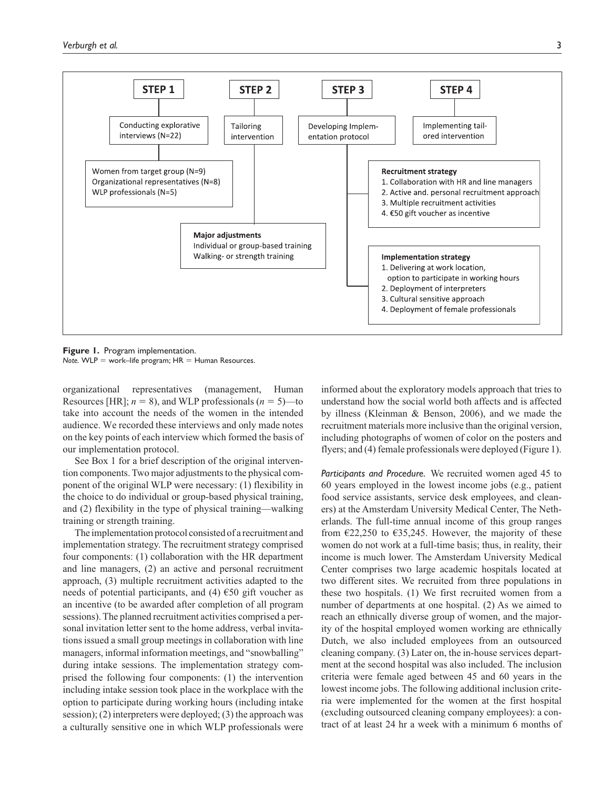

**Figure 1.** Program implementation.  $Note. WLP = work-life program; HR = Human Resources.$ 

organizational representatives (management, Human Resources [HR];  $n = 8$ ), and WLP professionals ( $n = 5$ )—to take into account the needs of the women in the intended audience. We recorded these interviews and only made notes on the key points of each interview which formed the basis of our implementation protocol.

See Box 1 for a brief description of the original intervention components. Two major adjustments to the physical component of the original WLP were necessary: (1) flexibility in the choice to do individual or group-based physical training, and (2) flexibility in the type of physical training—walking training or strength training.

The implementation protocol consisted of a recruitment and implementation strategy. The recruitment strategy comprised four components: (1) collaboration with the HR department and line managers, (2) an active and personal recruitment approach, (3) multiple recruitment activities adapted to the needs of potential participants, and (4)  $\epsilon$ 50 gift voucher as an incentive (to be awarded after completion of all program sessions). The planned recruitment activities comprised a personal invitation letter sent to the home address, verbal invitations issued a small group meetings in collaboration with line managers, informal information meetings, and "snowballing" during intake sessions. The implementation strategy comprised the following four components: (1) the intervention including intake session took place in the workplace with the option to participate during working hours (including intake session); (2) interpreters were deployed; (3) the approach was a culturally sensitive one in which WLP professionals were

informed about the exploratory models approach that tries to understand how the social world both affects and is affected by illness (Kleinman & Benson, 2006), and we made the recruitment materials more inclusive than the original version, including photographs of women of color on the posters and flyers; and (4) female professionals were deployed (Figure 1).

*Participants and Procedure.* We recruited women aged 45 to 60 years employed in the lowest income jobs (e.g., patient food service assistants, service desk employees, and cleaners) at the Amsterdam University Medical Center, The Netherlands. The full-time annual income of this group ranges from  $\epsilon$ 22,250 to  $\epsilon$ 35,245. However, the majority of these women do not work at a full-time basis; thus, in reality, their income is much lower. The Amsterdam University Medical Center comprises two large academic hospitals located at two different sites. We recruited from three populations in these two hospitals. (1) We first recruited women from a number of departments at one hospital. (2) As we aimed to reach an ethnically diverse group of women, and the majority of the hospital employed women working are ethnically Dutch, we also included employees from an outsourced cleaning company. (3) Later on, the in-house services department at the second hospital was also included. The inclusion criteria were female aged between 45 and 60 years in the lowest income jobs. The following additional inclusion criteria were implemented for the women at the first hospital (excluding outsourced cleaning company employees): a contract of at least 24 hr a week with a minimum 6 months of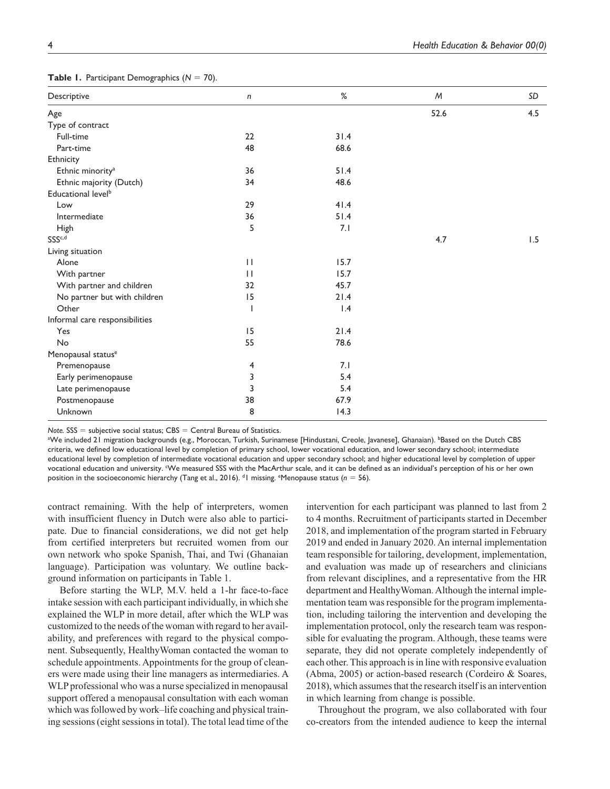| Descriptive                    | $\sqrt{n}$               | %    | M    | SD  |
|--------------------------------|--------------------------|------|------|-----|
| Age                            |                          |      | 52.6 | 4.5 |
| Type of contract               |                          |      |      |     |
| Full-time                      | 22                       | 31.4 |      |     |
| Part-time                      | 48                       | 68.6 |      |     |
| Ethnicity                      |                          |      |      |     |
| Ethnic minority <sup>a</sup>   | 36                       | 51.4 |      |     |
| Ethnic majority (Dutch)        | 34                       | 48.6 |      |     |
| Educational level <sup>b</sup> |                          |      |      |     |
| Low                            | 29                       | 41.4 |      |     |
| Intermediate                   | 36                       | 51.4 |      |     |
| <b>High</b>                    | 5                        | 7.1  |      |     |
| SSS <sup>c,d</sup>             |                          |      | 4.7  | 1.5 |
| Living situation               |                          |      |      |     |
| Alone                          | $\mathbf{H}$             | 15.7 |      |     |
| With partner                   | $\mathbf{H}$             | 15.7 |      |     |
| With partner and children      | 32                       | 45.7 |      |     |
| No partner but with children   | 15                       | 21.4 |      |     |
| Other                          | $\overline{\phantom{a}}$ | 1.4  |      |     |
| Informal care responsibilities |                          |      |      |     |
| Yes                            | 15                       | 21.4 |      |     |
| No                             | 55                       | 78.6 |      |     |
| Menopausal status <sup>e</sup> |                          |      |      |     |
| Premenopause                   | 4                        | 7.1  |      |     |
| Early perimenopause            | 3                        | 5.4  |      |     |
| Late perimenopause             | 3                        | 5.4  |      |     |
| Postmenopause                  | 38                       | 67.9 |      |     |
| Unknown                        | 8                        | 14.3 |      |     |

**Table 1.** Participant Demographics (*N* = 70).

*Note.* SSS = subjective social status; CBS = Central Bureau of Statistics.

<sup>a</sup>We included 21 migration backgrounds (e.g., Moroccan, Turkish, Surinamese [Hindustani, Creole, Javanese], Ghanaian). <sup>b</sup>Based on the Dutch CBS criteria, we defined low educational level by completion of primary school, lower vocational education, and lower secondary school; intermediate educational level by completion of intermediate vocational education and upper secondary school; and higher educational level by completion of upper vocational education and university. We measured SSS with the MacArthur scale, and it can be defined as an individual's perception of his or her own position in the socioeconomic hierarchy (Tang et al., 2016). <sup>d</sup>l missing. <sup>e</sup>Menopause status (n = 56).

contract remaining. With the help of interpreters, women with insufficient fluency in Dutch were also able to participate. Due to financial considerations, we did not get help from certified interpreters but recruited women from our own network who spoke Spanish, Thai, and Twi (Ghanaian language). Participation was voluntary. We outline background information on participants in Table 1.

Before starting the WLP, M.V. held a 1-hr face-to-face intake session with each participant individually, in which she explained the WLP in more detail, after which the WLP was customized to the needs of the woman with regard to her availability, and preferences with regard to the physical component. Subsequently, HealthyWoman contacted the woman to schedule appointments. Appointments for the group of cleaners were made using their line managers as intermediaries. A WLP professional who was a nurse specialized in menopausal support offered a menopausal consultation with each woman which was followed by work–life coaching and physical training sessions (eight sessions in total). The total lead time of the

intervention for each participant was planned to last from 2 to 4 months. Recruitment of participants started in December 2018, and implementation of the program started in February 2019 and ended in January 2020. An internal implementation team responsible for tailoring, development, implementation, and evaluation was made up of researchers and clinicians from relevant disciplines, and a representative from the HR department and HealthyWoman. Although the internal implementation team was responsible for the program implementation, including tailoring the intervention and developing the implementation protocol, only the research team was responsible for evaluating the program. Although, these teams were separate, they did not operate completely independently of each other. This approach is in line with responsive evaluation (Abma, 2005) or action-based research (Cordeiro & Soares, 2018), which assumes that the research itself is an intervention in which learning from change is possible.

Throughout the program, we also collaborated with four co-creators from the intended audience to keep the internal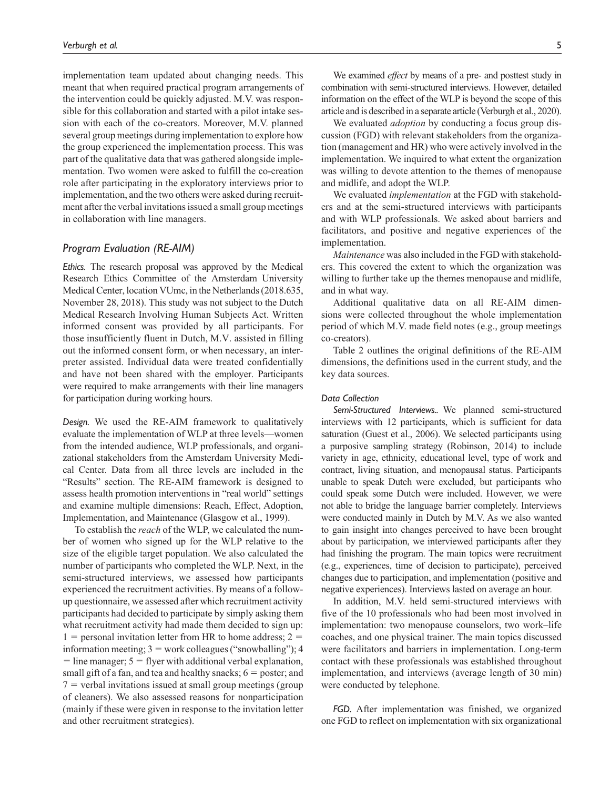implementation team updated about changing needs. This meant that when required practical program arrangements of the intervention could be quickly adjusted. M.V. was responsible for this collaboration and started with a pilot intake session with each of the co-creators. Moreover, M.V. planned several group meetings during implementation to explore how the group experienced the implementation process. This was part of the qualitative data that was gathered alongside implementation. Two women were asked to fulfill the co-creation role after participating in the exploratory interviews prior to implementation, and the two others were asked during recruitment after the verbal invitations issued a small group meetings in collaboration with line managers.

## *Program Evaluation (RE-AIM)*

*Ethics.* The research proposal was approved by the Medical Research Ethics Committee of the Amsterdam University Medical Center, location VUmc, in the Netherlands (2018.635, November 28, 2018). This study was not subject to the Dutch Medical Research Involving Human Subjects Act. Written informed consent was provided by all participants. For those insufficiently fluent in Dutch, M.V. assisted in filling out the informed consent form, or when necessary, an interpreter assisted. Individual data were treated confidentially and have not been shared with the employer. Participants were required to make arrangements with their line managers for participation during working hours.

*Design.* We used the RE-AIM framework to qualitatively evaluate the implementation of WLP at three levels—women from the intended audience, WLP professionals, and organizational stakeholders from the Amsterdam University Medical Center. Data from all three levels are included in the "Results" section. The RE-AIM framework is designed to assess health promotion interventions in "real world" settings and examine multiple dimensions: Reach, Effect, Adoption, Implementation, and Maintenance (Glasgow et al., 1999).

To establish the *reach* of the WLP, we calculated the number of women who signed up for the WLP relative to the size of the eligible target population. We also calculated the number of participants who completed the WLP. Next, in the semi-structured interviews, we assessed how participants experienced the recruitment activities. By means of a followup questionnaire, we assessed after which recruitment activity participants had decided to participate by simply asking them what recruitment activity had made them decided to sign up:  $1$  = personal invitation letter from HR to home address;  $2$  = information meeting;  $3 =$  work colleagues ("snowballing"); 4  $=$  line manager;  $5 =$  flyer with additional verbal explanation, small gift of a fan, and tea and healthy snacks;  $6 =$  poster; and  $7$  = verbal invitations issued at small group meetings (group of cleaners). We also assessed reasons for nonparticipation (mainly if these were given in response to the invitation letter and other recruitment strategies).

We examined *effect* by means of a pre- and posttest study in combination with semi-structured interviews. However, detailed information on the effect of the WLP is beyond the scope of this article and is described in a separate article (Verburgh et al., 2020).

We evaluated *adoption* by conducting a focus group discussion (FGD) with relevant stakeholders from the organization (management and HR) who were actively involved in the implementation. We inquired to what extent the organization was willing to devote attention to the themes of menopause and midlife, and adopt the WLP.

We evaluated *implementation* at the FGD with stakeholders and at the semi-structured interviews with participants and with WLP professionals. We asked about barriers and facilitators, and positive and negative experiences of the implementation.

*Maintenance* was also included in the FGD with stakeholders. This covered the extent to which the organization was willing to further take up the themes menopause and midlife, and in what way.

Additional qualitative data on all RE-AIM dimensions were collected throughout the whole implementation period of which M.V. made field notes (e.g., group meetings co-creators).

Table 2 outlines the original definitions of the RE-AIM dimensions, the definitions used in the current study, and the key data sources.

## *Data Collection*

*Semi-Structured Interviews..* We planned semi-structured interviews with 12 participants, which is sufficient for data saturation (Guest et al., 2006). We selected participants using a purposive sampling strategy (Robinson, 2014) to include variety in age, ethnicity, educational level, type of work and contract, living situation, and menopausal status. Participants unable to speak Dutch were excluded, but participants who could speak some Dutch were included. However, we were not able to bridge the language barrier completely. Interviews were conducted mainly in Dutch by M.V. As we also wanted to gain insight into changes perceived to have been brought about by participation, we interviewed participants after they had finishing the program. The main topics were recruitment (e.g., experiences, time of decision to participate), perceived changes due to participation, and implementation (positive and negative experiences). Interviews lasted on average an hour.

In addition, M.V. held semi-structured interviews with five of the 10 professionals who had been most involved in implementation: two menopause counselors, two work–life coaches, and one physical trainer. The main topics discussed were facilitators and barriers in implementation. Long-term contact with these professionals was established throughout implementation, and interviews (average length of 30 min) were conducted by telephone.

*FGD.* After implementation was finished, we organized one FGD to reflect on implementation with six organizational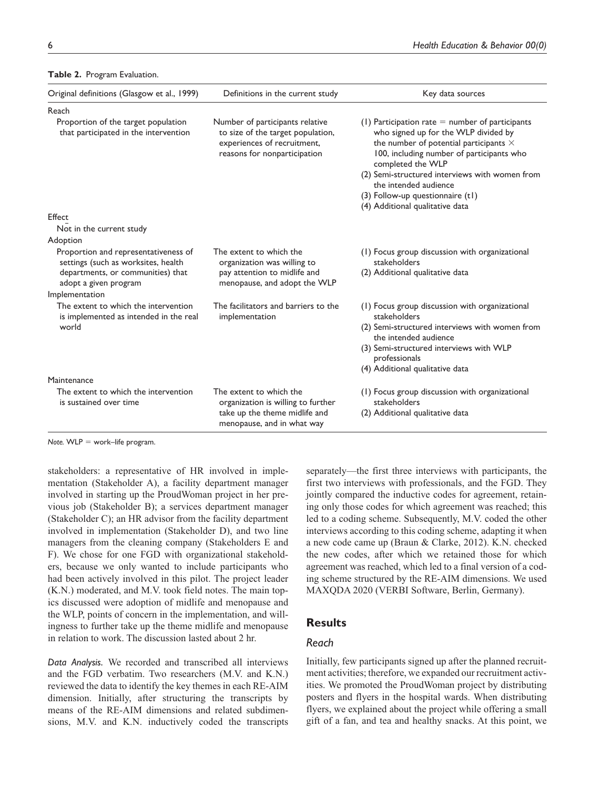| Original definitions (Glasgow et al., 1999)                                                                                               | Definitions in the current study                                                                                                    | Key data sources                                                                                                                                                                                                                                                                                                                                               |
|-------------------------------------------------------------------------------------------------------------------------------------------|-------------------------------------------------------------------------------------------------------------------------------------|----------------------------------------------------------------------------------------------------------------------------------------------------------------------------------------------------------------------------------------------------------------------------------------------------------------------------------------------------------------|
| Reach                                                                                                                                     |                                                                                                                                     |                                                                                                                                                                                                                                                                                                                                                                |
| Proportion of the target population<br>that participated in the intervention                                                              | Number of participants relative<br>to size of the target population,<br>experiences of recruitment,<br>reasons for nonparticipation | (1) Participation rate $=$ number of participants<br>who signed up for the WLP divided by<br>the number of potential participants $\times$<br>100, including number of participants who<br>completed the WLP<br>(2) Semi-structured interviews with women from<br>the intended audience<br>(3) Follow-up questionnaire (t1)<br>(4) Additional qualitative data |
| Effect                                                                                                                                    |                                                                                                                                     |                                                                                                                                                                                                                                                                                                                                                                |
| Not in the current study                                                                                                                  |                                                                                                                                     |                                                                                                                                                                                                                                                                                                                                                                |
| Adoption                                                                                                                                  |                                                                                                                                     |                                                                                                                                                                                                                                                                                                                                                                |
| Proportion and representativeness of<br>settings (such as worksites, health<br>departments, or communities) that<br>adopt a given program | The extent to which the<br>organization was willing to<br>pay attention to midlife and<br>menopause, and adopt the WLP              | (1) Focus group discussion with organizational<br>stakeholders<br>(2) Additional qualitative data                                                                                                                                                                                                                                                              |
| Implementation                                                                                                                            |                                                                                                                                     |                                                                                                                                                                                                                                                                                                                                                                |
| The extent to which the intervention<br>is implemented as intended in the real<br>world                                                   | The facilitators and barriers to the<br>implementation                                                                              | (1) Focus group discussion with organizational<br>stakeholders<br>(2) Semi-structured interviews with women from<br>the intended audience<br>(3) Semi-structured interviews with WLP<br>professionals<br>(4) Additional qualitative data                                                                                                                       |
| Maintenance                                                                                                                               |                                                                                                                                     |                                                                                                                                                                                                                                                                                                                                                                |
| The extent to which the intervention<br>is sustained over time                                                                            | The extent to which the<br>organization is willing to further                                                                       | (1) Focus group discussion with organizational<br>stakeholders                                                                                                                                                                                                                                                                                                 |
|                                                                                                                                           | take up the theme midlife and<br>menopause, and in what way                                                                         | (2) Additional qualitative data                                                                                                                                                                                                                                                                                                                                |

#### **Table 2.** Program Evaluation.

*Note.* WLP = work–life program.

stakeholders: a representative of HR involved in implementation (Stakeholder A), a facility department manager involved in starting up the ProudWoman project in her previous job (Stakeholder B); a services department manager (Stakeholder C); an HR advisor from the facility department involved in implementation (Stakeholder D), and two line managers from the cleaning company (Stakeholders E and F). We chose for one FGD with organizational stakeholders, because we only wanted to include participants who had been actively involved in this pilot. The project leader (K.N.) moderated, and M.V. took field notes. The main topics discussed were adoption of midlife and menopause and the WLP, points of concern in the implementation, and willingness to further take up the theme midlife and menopause in relation to work. The discussion lasted about 2 hr.

*Data Analysis.* We recorded and transcribed all interviews and the FGD verbatim. Two researchers (M.V. and K.N.) reviewed the data to identify the key themes in each RE-AIM dimension. Initially, after structuring the transcripts by means of the RE-AIM dimensions and related subdimensions, M.V. and K.N. inductively coded the transcripts

separately—the first three interviews with participants, the first two interviews with professionals, and the FGD. They jointly compared the inductive codes for agreement, retaining only those codes for which agreement was reached; this led to a coding scheme. Subsequently, M.V. coded the other interviews according to this coding scheme, adapting it when a new code came up (Braun & Clarke, 2012). K.N. checked the new codes, after which we retained those for which agreement was reached, which led to a final version of a coding scheme structured by the RE-AIM dimensions. We used MAXQDA 2020 (VERBI Software, Berlin, Germany).

## **Results**

## *Reach*

Initially, few participants signed up after the planned recruitment activities; therefore, we expanded our recruitment activities. We promoted the ProudWoman project by distributing posters and flyers in the hospital wards. When distributing flyers, we explained about the project while offering a small gift of a fan, and tea and healthy snacks. At this point, we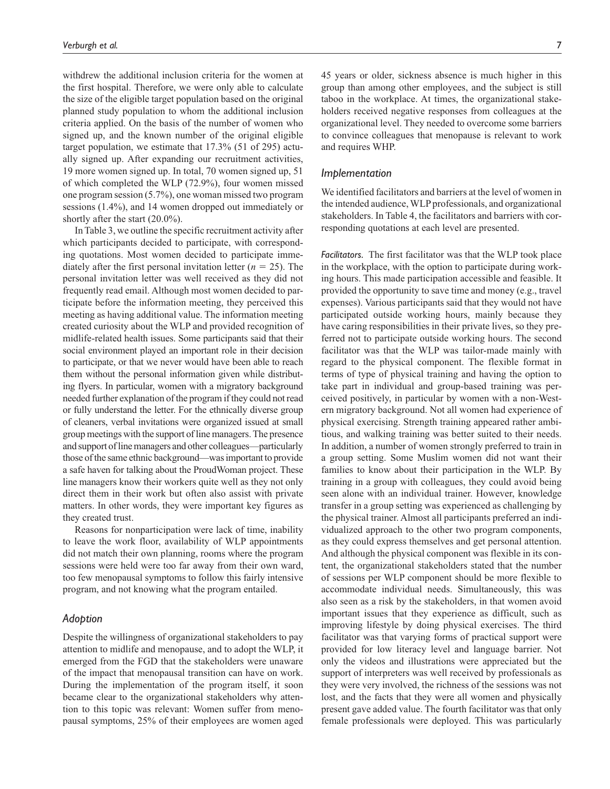withdrew the additional inclusion criteria for the women at the first hospital. Therefore, we were only able to calculate the size of the eligible target population based on the original planned study population to whom the additional inclusion criteria applied. On the basis of the number of women who signed up, and the known number of the original eligible target population, we estimate that 17.3% (51 of 295) actually signed up. After expanding our recruitment activities, 19 more women signed up. In total, 70 women signed up, 51 of which completed the WLP (72.9%), four women missed one program session (5.7%), one woman missed two program sessions (1.4%), and 14 women dropped out immediately or shortly after the start (20.0%).

In Table 3, we outline the specific recruitment activity after which participants decided to participate, with corresponding quotations. Most women decided to participate immediately after the first personal invitation letter  $(n = 25)$ . The personal invitation letter was well received as they did not frequently read email. Although most women decided to participate before the information meeting, they perceived this meeting as having additional value. The information meeting created curiosity about the WLP and provided recognition of midlife-related health issues. Some participants said that their social environment played an important role in their decision to participate, or that we never would have been able to reach them without the personal information given while distributing flyers. In particular, women with a migratory background needed further explanation of the program if they could not read or fully understand the letter. For the ethnically diverse group of cleaners, verbal invitations were organized issued at small group meetings with the support of line managers. The presence and support of line managers and other colleagues—particularly those of the same ethnic background—was important to provide a safe haven for talking about the ProudWoman project. These line managers know their workers quite well as they not only direct them in their work but often also assist with private matters. In other words, they were important key figures as they created trust.

Reasons for nonparticipation were lack of time, inability to leave the work floor, availability of WLP appointments did not match their own planning, rooms where the program sessions were held were too far away from their own ward, too few menopausal symptoms to follow this fairly intensive program, and not knowing what the program entailed.

### *Adoption*

Despite the willingness of organizational stakeholders to pay attention to midlife and menopause, and to adopt the WLP, it emerged from the FGD that the stakeholders were unaware of the impact that menopausal transition can have on work. During the implementation of the program itself, it soon became clear to the organizational stakeholders why attention to this topic was relevant: Women suffer from menopausal symptoms, 25% of their employees are women aged

45 years or older, sickness absence is much higher in this group than among other employees, and the subject is still taboo in the workplace. At times, the organizational stakeholders received negative responses from colleagues at the organizational level. They needed to overcome some barriers to convince colleagues that menopause is relevant to work and requires WHP.

### *Implementation*

We identified facilitators and barriers at the level of women in the intended audience, WLP professionals, and organizational stakeholders. In Table 4, the facilitators and barriers with corresponding quotations at each level are presented.

*Facilitators.* The first facilitator was that the WLP took place in the workplace, with the option to participate during working hours. This made participation accessible and feasible. It provided the opportunity to save time and money (e.g., travel expenses). Various participants said that they would not have participated outside working hours, mainly because they have caring responsibilities in their private lives, so they preferred not to participate outside working hours. The second facilitator was that the WLP was tailor-made mainly with regard to the physical component. The flexible format in terms of type of physical training and having the option to take part in individual and group-based training was perceived positively, in particular by women with a non-Western migratory background. Not all women had experience of physical exercising. Strength training appeared rather ambitious, and walking training was better suited to their needs. In addition, a number of women strongly preferred to train in a group setting. Some Muslim women did not want their families to know about their participation in the WLP. By training in a group with colleagues, they could avoid being seen alone with an individual trainer. However, knowledge transfer in a group setting was experienced as challenging by the physical trainer. Almost all participants preferred an individualized approach to the other two program components, as they could express themselves and get personal attention. And although the physical component was flexible in its content, the organizational stakeholders stated that the number of sessions per WLP component should be more flexible to accommodate individual needs. Simultaneously, this was also seen as a risk by the stakeholders, in that women avoid important issues that they experience as difficult, such as improving lifestyle by doing physical exercises. The third facilitator was that varying forms of practical support were provided for low literacy level and language barrier. Not only the videos and illustrations were appreciated but the support of interpreters was well received by professionals as they were very involved, the richness of the sessions was not lost, and the facts that they were all women and physically present gave added value. The fourth facilitator was that only female professionals were deployed. This was particularly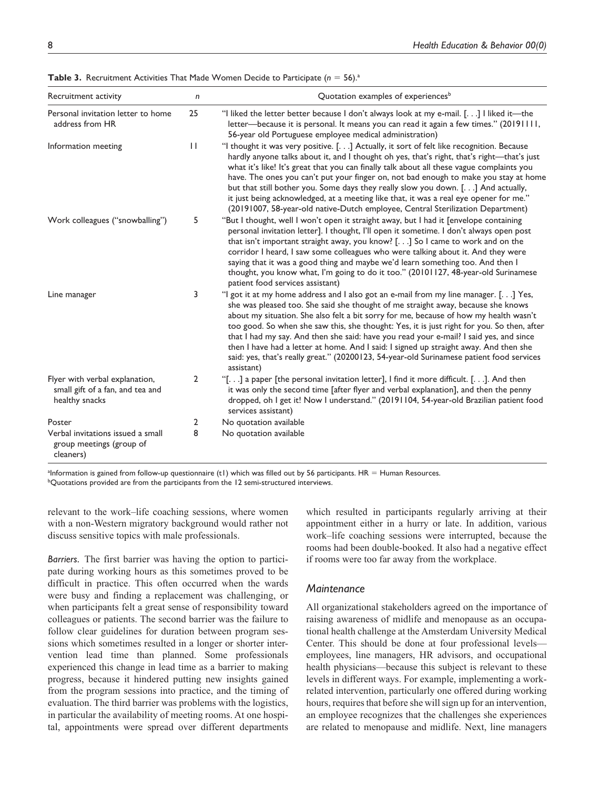| Recruitment activity                                                                 | $\mathsf{n}$ | Quotation examples of experiences <sup>b</sup>                                                                                                                                                                                                                                                                                                                                                                                                                                                                                                                                                                                                              |
|--------------------------------------------------------------------------------------|--------------|-------------------------------------------------------------------------------------------------------------------------------------------------------------------------------------------------------------------------------------------------------------------------------------------------------------------------------------------------------------------------------------------------------------------------------------------------------------------------------------------------------------------------------------------------------------------------------------------------------------------------------------------------------------|
| Personal invitation letter to home<br>address from HR                                | 25           | "I liked the letter better because I don't always look at my e-mail. [.] I liked it-the<br>letter—because it is personal. It means you can read it again a few times." (20191111,<br>56-year old Portuguese employee medical administration)                                                                                                                                                                                                                                                                                                                                                                                                                |
| Information meeting                                                                  | $\mathbf{H}$ | "I thought it was very positive. [.] Actually, it sort of felt like recognition. Because<br>hardly anyone talks about it, and I thought oh yes, that's right, that's right-that's just<br>what it's like! It's great that you can finally talk about all these vague complaints you<br>have. The ones you can't put your finger on, not bad enough to make you stay at home<br>but that still bother you. Some days they really slow you down. [] And actually,<br>it just being acknowledged, at a meeting like that, it was a real eye opener for me."<br>(20191007, 58-year-old native-Dutch employee, Central Sterilization Department)                 |
| Work colleagues ("snowballing")                                                      | 5            | "But I thought, well I won't open it straight away, but I had it [envelope containing<br>personal invitation letter]. I thought, I'll open it sometime. I don't always open post<br>that isn't important straight away, you know? [.] So I came to work and on the<br>corridor I heard, I saw some colleagues who were talking about it. And they were<br>saying that it was a good thing and maybe we'd learn something too. And then I<br>thought, you know what, I'm going to do it too." (20101127, 48-year-old Surinamese<br>patient food services assistant)                                                                                          |
| Line manager                                                                         | 3            | "I got it at my home address and I also got an e-mail from my line manager. [] Yes,<br>she was pleased too. She said she thought of me straight away, because she knows<br>about my situation. She also felt a bit sorry for me, because of how my health wasn't<br>too good. So when she saw this, she thought: Yes, it is just right for you. So then, after<br>that I had my say. And then she said: have you read your e-mail? I said yes, and since<br>then I have had a letter at home. And I said: I signed up straight away. And then she<br>said: yes, that's really great." (20200123, 54-year-old Surinamese patient food services<br>assistant) |
| Flyer with verbal explanation,<br>small gift of a fan, and tea and<br>healthy snacks | 2            | "[] a paper [the personal invitation letter], I find it more difficult. []. And then<br>it was only the second time [after flyer and verbal explanation], and then the penny<br>dropped, oh I get it! Now I understand." (20191104, 54-year-old Brazilian patient food<br>services assistant)                                                                                                                                                                                                                                                                                                                                                               |
| Poster                                                                               | 2            | No quotation available                                                                                                                                                                                                                                                                                                                                                                                                                                                                                                                                                                                                                                      |
| Verbal invitations issued a small<br>group meetings (group of<br>cleaners)           | 8            | No quotation available                                                                                                                                                                                                                                                                                                                                                                                                                                                                                                                                                                                                                                      |

**Table 3.** Recruitment Activities That Made Women Decide to Participate ( $n = 56$ ).<sup>a</sup>

a Information is gained from follow-up questionnaire (t1) which was filled out by 56 participants. HR = Human Resources.

 $^{\rm b}$ Quotations provided are from the participants from the 12 semi-structured interviews.

relevant to the work–life coaching sessions, where women with a non-Western migratory background would rather not discuss sensitive topics with male professionals.

*Barriers.* The first barrier was having the option to participate during working hours as this sometimes proved to be difficult in practice. This often occurred when the wards were busy and finding a replacement was challenging, or when participants felt a great sense of responsibility toward colleagues or patients. The second barrier was the failure to follow clear guidelines for duration between program sessions which sometimes resulted in a longer or shorter intervention lead time than planned. Some professionals experienced this change in lead time as a barrier to making progress, because it hindered putting new insights gained from the program sessions into practice, and the timing of evaluation. The third barrier was problems with the logistics, in particular the availability of meeting rooms. At one hospital, appointments were spread over different departments

which resulted in participants regularly arriving at their appointment either in a hurry or late. In addition, various work–life coaching sessions were interrupted, because the rooms had been double-booked. It also had a negative effect if rooms were too far away from the workplace.

## *Maintenance*

All organizational stakeholders agreed on the importance of raising awareness of midlife and menopause as an occupational health challenge at the Amsterdam University Medical Center. This should be done at four professional levels employees, line managers, HR advisors, and occupational health physicians—because this subject is relevant to these levels in different ways. For example, implementing a workrelated intervention, particularly one offered during working hours, requires that before she will sign up for an intervention, an employee recognizes that the challenges she experiences are related to menopause and midlife. Next, line managers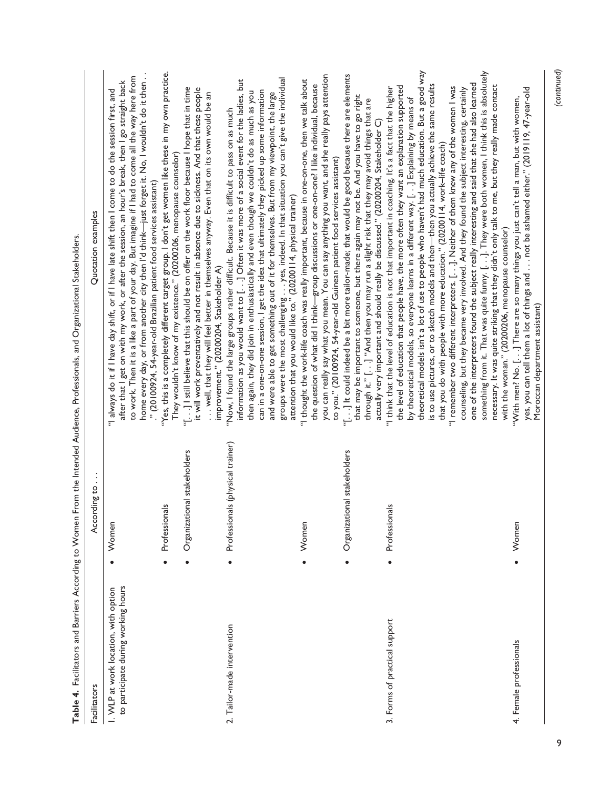|                                                                             |                                               | Table 4. Facilitators and Barriers According to Women From the Intended Audience, Professionals, and Organizational Stakeholders                                                                                                                                                                                                                                                                                                                                                                                                                                                                                                                                                                                                                                                                                                                                                                                                                                             |
|-----------------------------------------------------------------------------|-----------------------------------------------|------------------------------------------------------------------------------------------------------------------------------------------------------------------------------------------------------------------------------------------------------------------------------------------------------------------------------------------------------------------------------------------------------------------------------------------------------------------------------------------------------------------------------------------------------------------------------------------------------------------------------------------------------------------------------------------------------------------------------------------------------------------------------------------------------------------------------------------------------------------------------------------------------------------------------------------------------------------------------|
| Facilitators                                                                | According to                                  | Quotation examples                                                                                                                                                                                                                                                                                                                                                                                                                                                                                                                                                                                                                                                                                                                                                                                                                                                                                                                                                           |
| to participate during working hours<br>I. WLP at work location, with option | Women<br>$\bullet$                            | home every day, or from another city then I'd think—just forget it. No, I wouldn't do it then<br>to work. Then it is a like a part of your day. But imagine if I had to come all the way here from<br>after that I get on with my work, or after the session, an hour's break, then I go straight back<br>"I always do it if I have day shift, or if I have late shift then I come to do the session first, and<br>" (20100924, 54-year-old Brazilian patient food services assistant)                                                                                                                                                                                                                                                                                                                                                                                                                                                                                       |
|                                                                             | Professionals                                 | "Yes, this is a completely different target group. I don't get women like these in my own practice.<br>They wouldn't know of my existence." (20200206, menopause counselor)                                                                                                                                                                                                                                                                                                                                                                                                                                                                                                                                                                                                                                                                                                                                                                                                  |
|                                                                             | onal stakeholders<br>Organizati               | "[] I still believe that this should be on offer on the work floor because I hope that in time<br>it will work preventatively and not result in absence due to sickness. And that these people<br>well, that they will feel better in themselves anyway. Even that on its own would be an<br>improvement." (20200204, Stakeholder A)                                                                                                                                                                                                                                                                                                                                                                                                                                                                                                                                                                                                                                         |
| 2. Tailor-made intervention                                                 | Professionals (physical trainer)<br>$\bullet$ | information as you would want to [. . ] Often it was more of a social event for the ladies, but<br>can in a one-on-one session, I get the idea that ultimately they picked up some information<br>then again, they did join in enthusiastically and even though we couldn't do as much as you<br>and were able to get something out of it for themselves. But from my viewpoint, the large<br>"Now, I found the large groups rather difficult. Because it is difficult to pass on as much                                                                                                                                                                                                                                                                                                                                                                                                                                                                                    |
|                                                                             |                                               | groups were the most challenging yes, indeed. In that situation you can't give the individual<br>attention that you would like to." (20200 l l 4, physical trainer)                                                                                                                                                                                                                                                                                                                                                                                                                                                                                                                                                                                                                                                                                                                                                                                                          |
|                                                                             | Women<br>$\bullet$                            | you can really say what you mean. You can say anything you want, and she really pays attention<br>"I thought the work-life coach was really important, because in one-on-one, then we talk about<br>the question of what did I think-group discussions or one-on-one? I like individual, because<br>to you." (20100924, 54-year-old Guinean patient food services assistant)                                                                                                                                                                                                                                                                                                                                                                                                                                                                                                                                                                                                 |
|                                                                             | onal stakeholders<br>Organizati               | "[] It could indeed be a bit more tailor-made; that would be good because there are elements<br>that may be important to someone, but there again may not be. And you have to go right<br>through it." [] "And then you may run a slight risk that they may avoid things that are<br>actually very important and should really be discussed." (20200204, Stakeholder C)                                                                                                                                                                                                                                                                                                                                                                                                                                                                                                                                                                                                      |
| 3. Forms of practical support                                               | Professionals<br>$\bullet$                    | theoretical models isn't a lot of use to people who haven't had much education. But a good way<br>something from it. That was quite funny. []. They were both women, I think this is absolutely<br>one of the interpreters found the subject really interesting and said that she had also learned<br>is to use pictures, or to sketch models and then—then you actually achieve the same results<br>the level of education that people have, the more often they want an explanation supported<br>"I remember two different interpreters. [.]. Neither of them knew any of the women I was<br>"I think that the level of education is not that important in coaching. It's a fact that the higher "<br>counseling, but they became very involved. And they found the subject interesting, certainly<br>by theoretical models, so everyone learns in a different way. [] Explaining by means of<br>that you do with people with more education." (20200114, work-life coach) |
| 4. Female professionals                                                     | Women                                         | necessary. It was quite striking that they didn't only talk to me, but they really made contact<br>yes, you can tell them a lot of things and  not be ashamed either." (2019119, 47-year-old<br>"With men? No. [] There are so many things you just can't tell a man, but with women,<br>with the woman." (20200206, menopause counselor)<br>Moroccan department assistant)                                                                                                                                                                                                                                                                                                                                                                                                                                                                                                                                                                                                  |

9

 *(continued)*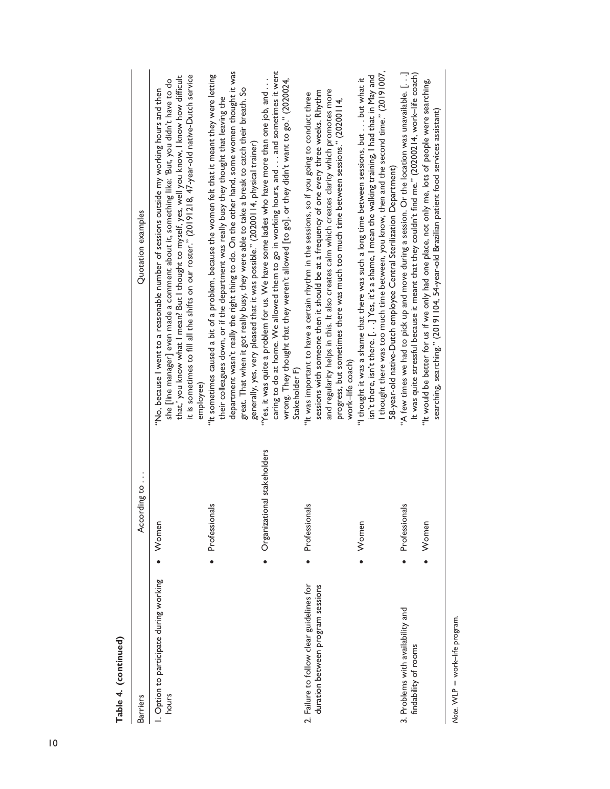| Table 4. (continued)                                                           |                             |                                                                                                                                                                                                                                                                                                                                                                                                                                                                                   |
|--------------------------------------------------------------------------------|-----------------------------|-----------------------------------------------------------------------------------------------------------------------------------------------------------------------------------------------------------------------------------------------------------------------------------------------------------------------------------------------------------------------------------------------------------------------------------------------------------------------------------|
| <b>Barriers</b>                                                                | According to                | Quotation examples                                                                                                                                                                                                                                                                                                                                                                                                                                                                |
| I. Option to participate during working<br>hours                               | Women                       | it is sometimes to fill all the shifts on our roster." (20191218, 47-year-old native-Dutch service<br>that,' you know what I mean? But I thought to myself, yes, well you know, I know how difficult<br>she [line manager] even made a comment about it, something like: 'But, you didn't have to do<br>"No, because I went to a reasonable number of sessions outside my working hours and then<br>employee                                                                      |
|                                                                                | Professionals               | department wasn't really the right thing to do. On the other hand, some women thought it was<br>"It sometimes caused a bit of a problem, because the women felt that it meant they were letting<br>great. That when it got really busy, they were able to take a break to catch their breath. So<br>their colleagues down, or if the department was really busy they thought that leaving the<br>generally, yes, very pleased that it was possible." (20200114, physical trainer) |
|                                                                                | Organizational stakeholders | caring to do at home. We allowed them to go in working hours, and  and sometimes it went<br>"Yes, it was quite a problem for us. We have some ladies who have more than one job, and<br>wrong. They thought that they weren't allowed [to go], or they didn't want to go." (2020024,<br>Stakeholder F)                                                                                                                                                                            |
| 2. Failure to follow clear guidelines for<br>duration between program sessions | Professionals               | and regularity helps in this. It also creates calm which creates clarity which promotes more<br>sessions with someone then it should be at a frequency of one every three weeks. Rhythm<br>"It was important to have a certain rhythm in the sessions, so if you going to conduct three<br>progress, but sometimes there was much too much time between sessions." (20200114,<br>work-life coach)                                                                                 |
|                                                                                | Women                       | I thought there was too much time between, you know, then and the second time." (20191007,<br>isn't there, isn't there. [. . ] Yes, it's a shame, I mean the walking training, I had that in May and<br>"I thought it was a shame that there was such a long time between sessions, but but what it<br>58-year-old native-Dutch employee Central Sterilization Department)                                                                                                        |
| 3. Problems with availability and<br>findability of rooms                      | Professionals               | "A few times we had to pick up and move during a session. Or the location was unavailable. []<br>It was quite stressful because it meant that they couldn't find me." (20200214, work-life coach)                                                                                                                                                                                                                                                                                 |
|                                                                                | Women                       | "It would be better for us if we only had one place, not only me, lots of people were searching,<br>searching, searching." (20191104, 54-year-old Brazilian patient food services assistant)                                                                                                                                                                                                                                                                                      |
| Note. WLP = work-life program.                                                 |                             |                                                                                                                                                                                                                                                                                                                                                                                                                                                                                   |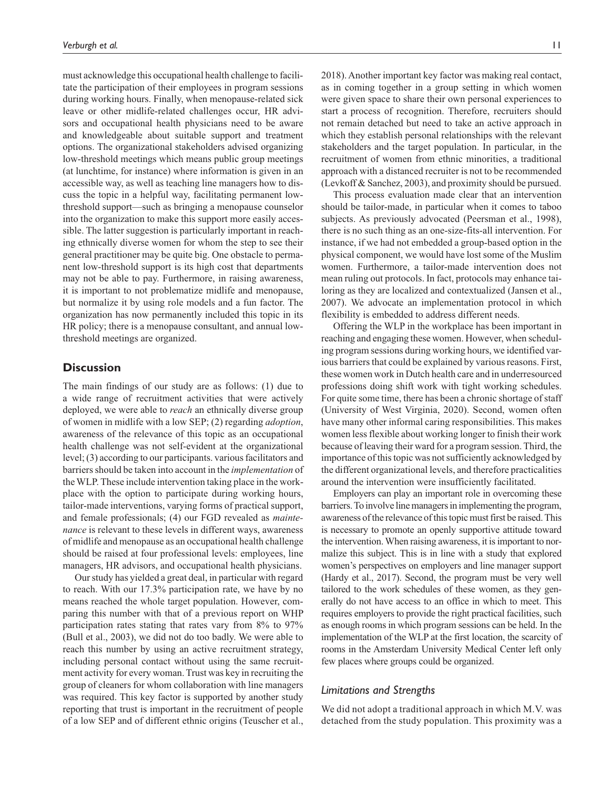must acknowledge this occupational health challenge to facilitate the participation of their employees in program sessions during working hours. Finally, when menopause-related sick leave or other midlife-related challenges occur, HR advisors and occupational health physicians need to be aware and knowledgeable about suitable support and treatment options. The organizational stakeholders advised organizing low-threshold meetings which means public group meetings (at lunchtime, for instance) where information is given in an accessible way, as well as teaching line managers how to discuss the topic in a helpful way, facilitating permanent lowthreshold support—such as bringing a menopause counselor into the organization to make this support more easily accessible. The latter suggestion is particularly important in reaching ethnically diverse women for whom the step to see their general practitioner may be quite big. One obstacle to permanent low-threshold support is its high cost that departments may not be able to pay. Furthermore, in raising awareness, it is important to not problematize midlife and menopause, but normalize it by using role models and a fun factor. The organization has now permanently included this topic in its HR policy; there is a menopause consultant, and annual lowthreshold meetings are organized.

## **Discussion**

The main findings of our study are as follows: (1) due to a wide range of recruitment activities that were actively deployed, we were able to *reach* an ethnically diverse group of women in midlife with a low SEP; (2) regarding *adoption*, awareness of the relevance of this topic as an occupational health challenge was not self-evident at the organizational level; (3) according to our participants. various facilitators and barriers should be taken into account in the *implementation* of the WLP. These include intervention taking place in the workplace with the option to participate during working hours, tailor-made interventions, varying forms of practical support, and female professionals; (4) our FGD revealed as *maintenance* is relevant to these levels in different ways, awareness of midlife and menopause as an occupational health challenge should be raised at four professional levels: employees, line managers, HR advisors, and occupational health physicians.

Our study has yielded a great deal, in particular with regard to reach. With our 17.3% participation rate, we have by no means reached the whole target population. However, comparing this number with that of a previous report on WHP participation rates stating that rates vary from 8% to 97% (Bull et al., 2003), we did not do too badly. We were able to reach this number by using an active recruitment strategy, including personal contact without using the same recruitment activity for every woman. Trust was key in recruiting the group of cleaners for whom collaboration with line managers was required. This key factor is supported by another study reporting that trust is important in the recruitment of people of a low SEP and of different ethnic origins (Teuscher et al.,

2018). Another important key factor was making real contact, as in coming together in a group setting in which women were given space to share their own personal experiences to start a process of recognition. Therefore, recruiters should not remain detached but need to take an active approach in which they establish personal relationships with the relevant stakeholders and the target population. In particular, in the recruitment of women from ethnic minorities, a traditional approach with a distanced recruiter is not to be recommended (Levkoff & Sanchez, 2003), and proximity should be pursued.

This process evaluation made clear that an intervention should be tailor-made, in particular when it comes to taboo subjects. As previously advocated (Peersman et al., 1998), there is no such thing as an one-size-fits-all intervention. For instance, if we had not embedded a group-based option in the physical component, we would have lost some of the Muslim women. Furthermore, a tailor-made intervention does not mean ruling out protocols. In fact, protocols may enhance tailoring as they are localized and contextualized (Jansen et al., 2007). We advocate an implementation protocol in which flexibility is embedded to address different needs.

Offering the WLP in the workplace has been important in reaching and engaging these women. However, when scheduling program sessions during working hours, we identified various barriers that could be explained by various reasons. First, these women work in Dutch health care and in underresourced professions doing shift work with tight working schedules. For quite some time, there has been a chronic shortage of staff (University of West Virginia, 2020). Second, women often have many other informal caring responsibilities. This makes women less flexible about working longer to finish their work because of leaving their ward for a program session. Third, the importance of this topic was not sufficiently acknowledged by the different organizational levels, and therefore practicalities around the intervention were insufficiently facilitated.

Employers can play an important role in overcoming these barriers. To involve line managers in implementing the program, awareness of the relevance of this topic must first be raised. This is necessary to promote an openly supportive attitude toward the intervention. When raising awareness, it is important to normalize this subject. This is in line with a study that explored women's perspectives on employers and line manager support (Hardy et al., 2017). Second, the program must be very well tailored to the work schedules of these women, as they generally do not have access to an office in which to meet. This requires employers to provide the right practical facilities, such as enough rooms in which program sessions can be held. In the implementation of the WLP at the first location, the scarcity of rooms in the Amsterdam University Medical Center left only few places where groups could be organized.

## *Limitations and Strengths*

We did not adopt a traditional approach in which M.V. was detached from the study population. This proximity was a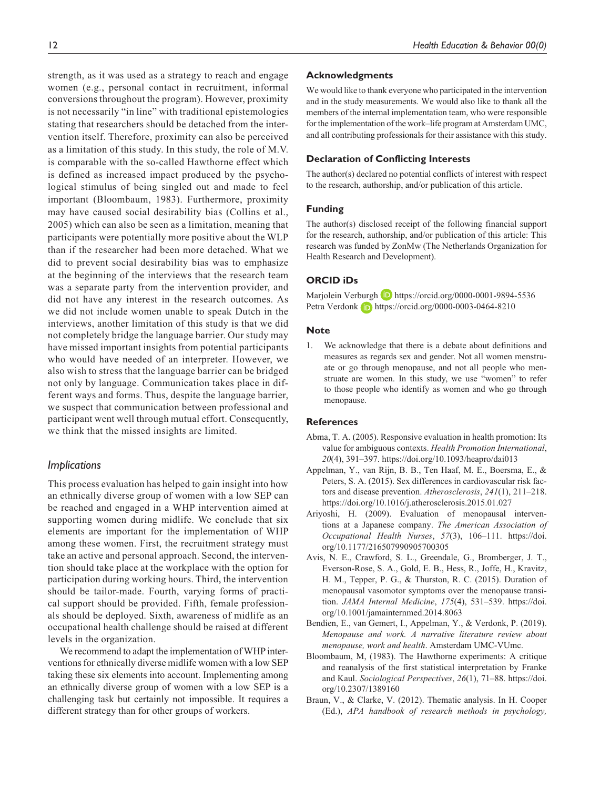strength, as it was used as a strategy to reach and engage women (e.g., personal contact in recruitment, informal conversions throughout the program). However, proximity is not necessarily "in line" with traditional epistemologies stating that researchers should be detached from the intervention itself. Therefore, proximity can also be perceived as a limitation of this study. In this study, the role of M.V. is comparable with the so-called Hawthorne effect which is defined as increased impact produced by the psychological stimulus of being singled out and made to feel important (Bloombaum, 1983). Furthermore, proximity may have caused social desirability bias (Collins et al., 2005) which can also be seen as a limitation, meaning that participants were potentially more positive about the WLP than if the researcher had been more detached. What we did to prevent social desirability bias was to emphasize at the beginning of the interviews that the research team was a separate party from the intervention provider, and did not have any interest in the research outcomes. As we did not include women unable to speak Dutch in the interviews, another limitation of this study is that we did not completely bridge the language barrier. Our study may have missed important insights from potential participants who would have needed of an interpreter. However, we also wish to stress that the language barrier can be bridged not only by language. Communication takes place in different ways and forms. Thus, despite the language barrier, we suspect that communication between professional and participant went well through mutual effort. Consequently, we think that the missed insights are limited.

## *Implications*

This process evaluation has helped to gain insight into how an ethnically diverse group of women with a low SEP can be reached and engaged in a WHP intervention aimed at supporting women during midlife. We conclude that six elements are important for the implementation of WHP among these women. First, the recruitment strategy must take an active and personal approach. Second, the intervention should take place at the workplace with the option for participation during working hours. Third, the intervention should be tailor-made. Fourth, varying forms of practical support should be provided. Fifth, female professionals should be deployed. Sixth, awareness of midlife as an occupational health challenge should be raised at different levels in the organization.

We recommend to adapt the implementation of WHP interventions for ethnically diverse midlife women with a low SEP taking these six elements into account. Implementing among an ethnically diverse group of women with a low SEP is a challenging task but certainly not impossible. It requires a different strategy than for other groups of workers.

### **Acknowledgments**

We would like to thank everyone who participated in the intervention and in the study measurements. We would also like to thank all the members of the internal implementation team, who were responsible for the implementation of the work–life program at Amsterdam UMC, and all contributing professionals for their assistance with this study.

### **Declaration of Conflicting Interests**

The author(s) declared no potential conflicts of interest with respect to the research, authorship, and/or publication of this article.

### **Funding**

The author(s) disclosed receipt of the following financial support for the research, authorship, and/or publication of this article: This research was funded by ZonMw (The Netherlands Organization for Health Research and Development).

### **ORCID iDs**

Marjolein Verburgh D <https://orcid.org/0000-0001-9894-5536> Petra Verdonk **iD** <https://orcid.org/0000-0003-0464-8210>

#### **Note**

1. We acknowledge that there is a debate about definitions and measures as regards sex and gender. Not all women menstruate or go through menopause, and not all people who menstruate are women. In this study, we use "women" to refer to those people who identify as women and who go through menopause.

### **References**

- Abma, T. A. (2005). Responsive evaluation in health promotion: Its value for ambiguous contexts. *Health Promotion International*, *20*(4), 391–397.<https://doi.org/10.1093/heapro/dai013>
- Appelman, Y., van Rijn, B. B., Ten Haaf, M. E., Boersma, E., & Peters, S. A. (2015). Sex differences in cardiovascular risk factors and disease prevention. *Atherosclerosis*, *241*(1), 211–218. <https://doi.org/10.1016/j.atherosclerosis.2015.01.027>
- Ariyoshi, H. (2009). Evaluation of menopausal interventions at a Japanese company. *The American Association of Occupational Health Nurses*, *57*(3), 106–111. [https://doi.](https://doi.org/10.1177/216507990905700305) [org/10.1177/216507990905700305](https://doi.org/10.1177/216507990905700305)
- Avis, N. E., Crawford, S. L., Greendale, G., Bromberger, J. T., Everson-Rose, S. A., Gold, E. B., Hess, R., Joffe, H., Kravitz, H. M., Tepper, P. G., & Thurston, R. C. (2015). Duration of menopausal vasomotor symptoms over the menopause transition. *JAMA Internal Medicine*, *175*(4), 531–539. [https://doi.](https://doi.org/10.1001/jamainternmed.2014.8063) [org/10.1001/jamainternmed.2014.8063](https://doi.org/10.1001/jamainternmed.2014.8063)
- Bendien, E., van Gemert, I., Appelman, Y., & Verdonk, P. (2019). *Menopause and work. A narrative literature review about menopause, work and health*. Amsterdam UMC-VUmc.
- Bloombaum, M, (1983). The Hawthorne experiments: A critique and reanalysis of the first statistical interpretation by Franke and Kaul. *Sociological Perspectives*, *26*(1), 71–88. [https://doi.](https://doi.org/10.2307/1389160) [org/10.2307/1389160](https://doi.org/10.2307/1389160)
- Braun, V., & Clarke, V. (2012). Thematic analysis. In H. Cooper (Ed.), *APA handbook of research methods in psychology,*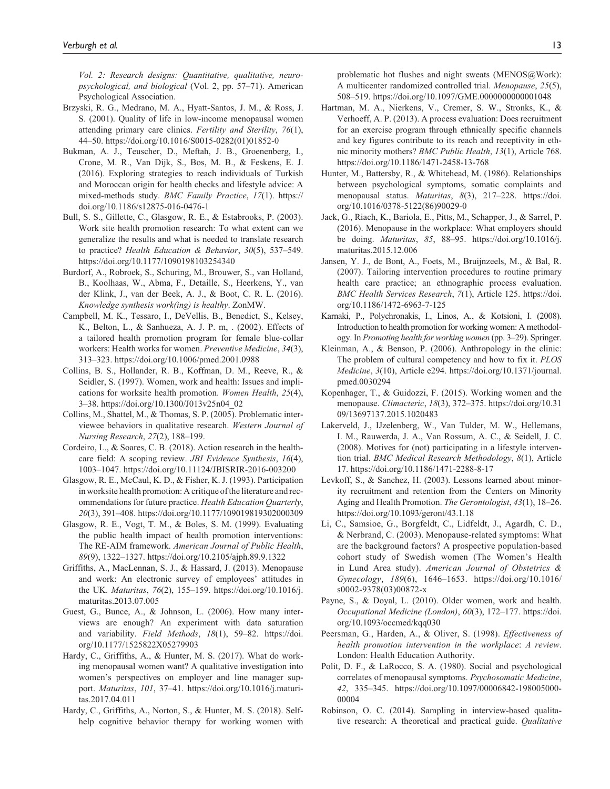*Vol. 2: Research designs: Quantitative, qualitative, neuropsychological, and biological* (Vol. 2, pp. 57–71). American Psychological Association.

- Brzyski, R. G., Medrano, M. A., Hyatt-Santos, J. M., & Ross, J. S. (2001). Quality of life in low-income menopausal women attending primary care clinics. *Fertility and Sterility*, *76*(1), 44–50. [https://doi.org/10.1016/S0015-0282\(01\)01852-0](https://doi.org/10.1016/S0015-0282(01)01852-0)
- Bukman, A. J., Teuscher, D., Meftah, J. B., Groenenberg, I., Crone, M. R., Van Dijk, S., Bos, M. B., & Feskens, E. J. (2016). Exploring strategies to reach individuals of Turkish and Moroccan origin for health checks and lifestyle advice: A mixed-methods study. *BMC Family Practice*, *17*(1). [https://](https://doi.org/10.1186/s12875-016-0476-1) [doi.org/10.1186/s12875-016-0476-1](https://doi.org/10.1186/s12875-016-0476-1)
- Bull, S. S., Gillette, C., Glasgow, R. E., & Estabrooks, P. (2003). Work site health promotion research: To what extent can we generalize the results and what is needed to translate research to practice? *Health Education & Behavior*, *30*(5), 537–549. <https://doi.org/10.1177/1090198103254340>
- Burdorf, A., Robroek, S., Schuring, M., Brouwer, S., van Holland, B., Koolhaas, W., Abma, F., Detaille, S., Heerkens, Y., van der Klink, J., van der Beek, A. J., & Boot, C. R. L. (2016). *Knowledge synthesis work(ing) is healthy*. ZonMW.
- Campbell, M. K., Tessaro, I., DeVellis, B., Benedict, S., Kelsey, K., Belton, L., & Sanhueza, A. J. P. m, . (2002). Effects of a tailored health promotion program for female blue-collar workers: Health works for women. *Preventive Medicine*, *34*(3), 313–323. <https://doi.org/10.1006/pmed.2001.0988>
- Collins, B. S., Hollander, R. B., Koffman, D. M., Reeve, R., & Seidler, S. (1997). Women, work and health: Issues and implications for worksite health promotion. *Women Health*, *25*(4), 3–38. [https://doi.org/10.1300/J013v25n04\\_02](https://doi.org/10.1300/J013v25n04_02)
- Collins, M., Shattel, M., & Thomas, S. P. (2005). Problematic interviewee behaviors in qualitative research. *Western Journal of Nursing Research*, *27*(2), 188–199.
- Cordeiro, L., & Soares, C. B. (2018). Action research in the healthcare field: A scoping review. *JBI Evidence Synthesis*, *16*(4), 1003–1047. <https://doi.org/10.11124/JBISRIR-2016-003200>
- Glasgow, R. E., McCaul, K. D., & Fisher, K. J. (1993). Participation in worksite health promotion: A critique of the literature and recommendations for future practice. *Health Education Quarterly*, *20*(3), 391–408.<https://doi.org/10.1177/109019819302000309>
- Glasgow, R. E., Vogt, T. M., & Boles, S. M. (1999). Evaluating the public health impact of health promotion interventions: The RE-AIM framework. *American Journal of Public Health*, *89*(9), 1322–1327. <https://doi.org/10.2105/ajph.89.9.1322>
- Griffiths, A., MacLennan, S. J., & Hassard, J. (2013). Menopause and work: An electronic survey of employees' attitudes in the UK. *Maturitas*, *76*(2), 155–159. [https://doi.org/10.1016/j.](https://doi.org/10.1016/j.maturitas.2013.07.005) [maturitas.2013.07.005](https://doi.org/10.1016/j.maturitas.2013.07.005)
- Guest, G., Bunce, A., & Johnson, L. (2006). How many interviews are enough? An experiment with data saturation and variability. *Field Methods*, *18*(1), 59–82. [https://doi.](https://doi.org/10.1177/1525822X05279903) [org/10.1177/1525822X05279903](https://doi.org/10.1177/1525822X05279903)
- Hardy, C., Griffiths, A., & Hunter, M. S. (2017). What do working menopausal women want? A qualitative investigation into women's perspectives on employer and line manager support. *Maturitas*, *101*, 37–41. [https://doi.org/10.1016/j.maturi](https://doi.org/10.1016/j.maturitas.2017.04.011)[tas.2017.04.011](https://doi.org/10.1016/j.maturitas.2017.04.011)
- Hardy, C., Griffiths, A., Norton, S., & Hunter, M. S. (2018). Selfhelp cognitive behavior therapy for working women with

problematic hot flushes and night sweats (MENOS@Work): A multicenter randomized controlled trial. *Menopause*, *25*(5), 508–519.<https://doi.org/10.1097/GME.0000000000001048>

- Hartman, M. A., Nierkens, V., Cremer, S. W., Stronks, K., & Verhoeff, A. P. (2013). A process evaluation: Does recruitment for an exercise program through ethnically specific channels and key figures contribute to its reach and receptivity in ethnic minority mothers? *BMC Public Health*, *13*(1), Article 768. <https://doi.org/10.1186/1471-2458-13-768>
- Hunter, M., Battersby, R., & Whitehead, M. (1986). Relationships between psychological symptoms, somatic complaints and menopausal status. *Maturitas*, *8*(3), 217–228. [https://doi.](https://doi.org/10.1016/0378-5122(86)90029-0) [org/10.1016/0378-5122\(86\)90029-0](https://doi.org/10.1016/0378-5122(86)90029-0)
- Jack, G., Riach, K., Bariola, E., Pitts, M., Schapper, J., & Sarrel, P. (2016). Menopause in the workplace: What employers should be doing. *Maturitas*, *85*, 88–95. [https://doi.org/10.1016/j.](https://doi.org/10.1016/j.maturitas.2015.12.006) [maturitas.2015.12.006](https://doi.org/10.1016/j.maturitas.2015.12.006)
- Jansen, Y. J., de Bont, A., Foets, M., Bruijnzeels, M., & Bal, R. (2007). Tailoring intervention procedures to routine primary health care practice; an ethnographic process evaluation. *BMC Health Services Research*, *7*(1), Article 125. [https://doi.](https://doi.org/10.1186/1472-6963-7-125) [org/10.1186/1472-6963-7-125](https://doi.org/10.1186/1472-6963-7-125)
- Karnaki, P., Polychronakis, I., Linos, A., & Kotsioni, I. (2008). Introduction to health promotion for working women: A methodology. In *Promoting health for working women* (pp. 3–29). Springer.
- Kleinman, A., & Benson, P. (2006). Anthropology in the clinic: The problem of cultural competency and how to fix it. *PLOS Medicine*, *3*(10), Article e294. [https://doi.org/10.1371/journal.](https://doi.org/10.1371/journal.pmed.0030294) [pmed.0030294](https://doi.org/10.1371/journal.pmed.0030294)
- Kopenhager, T., & Guidozzi, F. (2015). Working women and the menopause. *Climacteric*, *18*(3), 372–375. [https://doi.org/10.31](https://doi.org/10.3109/13697137.2015.1020483) [09/13697137.2015.1020483](https://doi.org/10.3109/13697137.2015.1020483)
- Lakerveld, J., IJzelenberg, W., Van Tulder, M. W., Hellemans, I. M., Rauwerda, J. A., Van Rossum, A. C., & Seidell, J. C. (2008). Motives for (not) participating in a lifestyle intervention trial. *BMC Medical Research Methodology*, *8*(1), Article 17. <https://doi.org/10.1186/1471-2288-8-17>
- Levkoff, S., & Sanchez, H. (2003). Lessons learned about minority recruitment and retention from the Centers on Minority Aging and Health Promotion. *The Gerontologist*, *43*(1), 18–26. <https://doi.org/10.1093/geront/43.1.18>
- Li, C., Samsioe, G., Borgfeldt, C., Lidfeldt, J., Agardh, C. D., & Nerbrand, C. (2003). Menopause-related symptoms: What are the background factors? A prospective population-based cohort study of Swedish women (The Women's Health in Lund Area study). *American Journal of Obstetrics & Gynecology*, *189*(6), 1646–1653. [https://doi.org/10.1016/](https://doi.org/10.1016/s0002-9378(03)00872-x) [s0002-9378\(03\)00872-x](https://doi.org/10.1016/s0002-9378(03)00872-x)
- Payne, S., & Doyal, L. (2010). Older women, work and health. *Occupational Medicine (London)*, *60*(3), 172–177. [https://doi.](https://doi.org/10.1093/occmed/kqq030) [org/10.1093/occmed/kqq030](https://doi.org/10.1093/occmed/kqq030)
- Peersman, G., Harden, A., & Oliver, S. (1998). *Effectiveness of health promotion intervention in the workplace*: *A review*. London: Health Education Authority.
- Polit, D. F., & LaRocco, S. A. (1980). Social and psychological correlates of menopausal symptoms. *Psychosomatic Medicine*, *42*, 335–345. [https://doi.org/10.1097/00006842-198005000-](https://doi.org/10.1097/00006842-198005000-00004) [00004](https://doi.org/10.1097/00006842-198005000-00004)
- Robinson, O. C. (2014). Sampling in interview-based qualitative research: A theoretical and practical guide. *Qualitative*